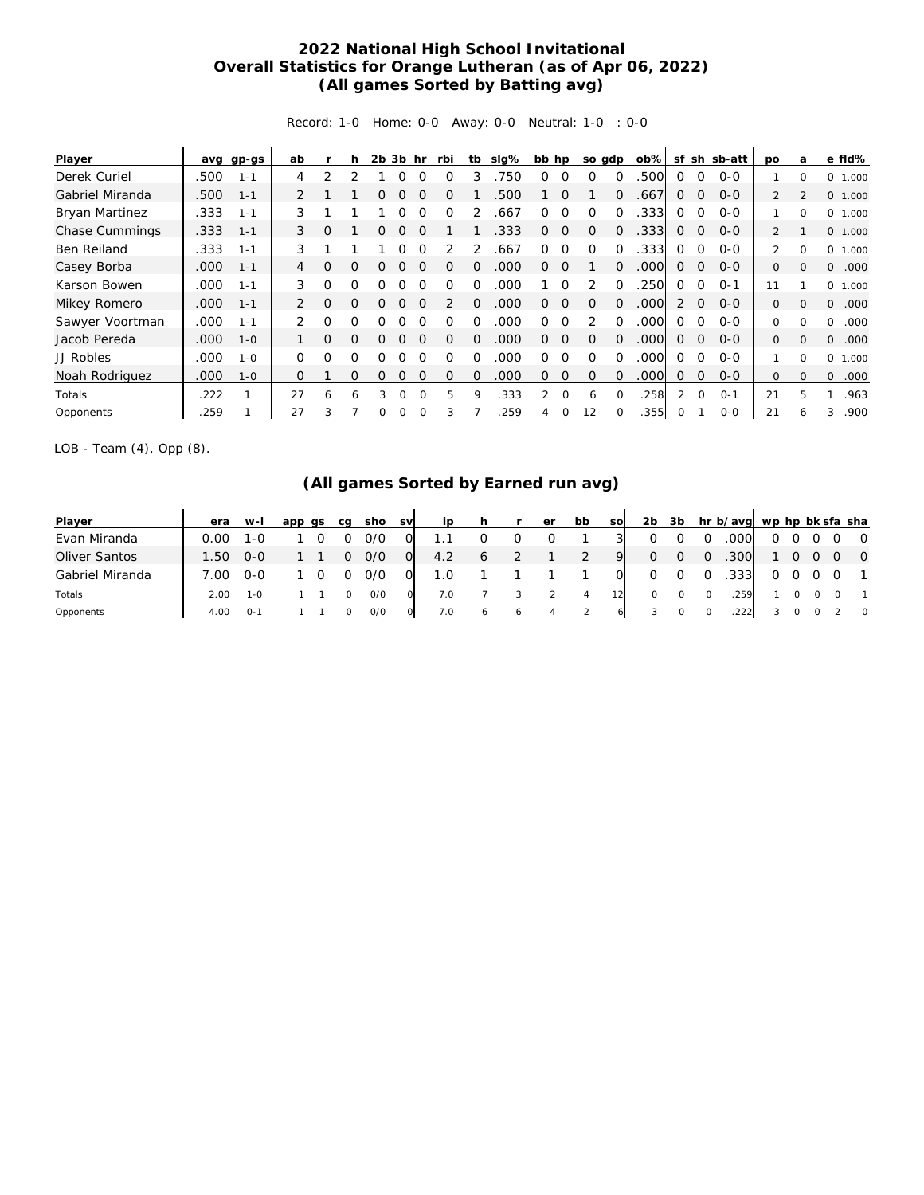## **2022 National High School Invitational Overall Statistics for Orange Lutheran (as of Apr 06, 2022) (All games Sorted by Batting avg)**

Record: 1-0 Home: 0-0 Away: 0-0 Neutral: 1-0 : 0-0

| Player                |      | avg gp-gs | ab            |          | h        |   | $2b$ $3b$ hr |          | rbi      | tb       | slg% | bb hp    |          | so gdp        |          | $ob\%$ | sf            |                | sh sb-att | po             | a        | e fld%            |
|-----------------------|------|-----------|---------------|----------|----------|---|--------------|----------|----------|----------|------|----------|----------|---------------|----------|--------|---------------|----------------|-----------|----------------|----------|-------------------|
| Derek Curiel          | .500 | $1 - 1$   | 4             | 2        |          |   |              |          |          | 3        | 750  | 0        | $\Omega$ | $\Omega$      | $\Omega$ | 500    | $\Omega$      | $\Omega$       | $0 - 0$   |                | $\Omega$ | 0<br>1.000        |
| Gabriel Miranda       | .500 | $1 - 1$   | 2             |          |          | Ω | 0            | $\Omega$ | O        |          | .500 |          | $\Omega$ |               | $\Omega$ | .667   | $\Omega$      | 0              | $0 - 0$   | $\overline{2}$ |          | 0 1.000           |
| <b>Bryan Martinez</b> | .333 | $1 - 1$   | 3             |          |          |   | 0            | $\Omega$ | $\Omega$ |          | .667 | 0        | $\Omega$ | $\Omega$      | $\Omega$ | 333.   | $\Omega$      | $\Omega$       | $0 - 0$   |                | $\Omega$ | 0<br>1.000        |
| Chase Cummings        | .333 | $1 - 1$   | 3             | Ω        |          | 0 | 0            |          |          |          | .333 | 0        | $\circ$  | $\Omega$      | $\Omega$ | .333   | $\Omega$      | $\Omega$       | $0 - 0$   | 2              |          | 0 1.000           |
| Ben Reiland           | .333 | $1 - 1$   | 3             |          |          |   | 0            | $\Omega$ |          |          | .667 | $\Omega$ | $\Omega$ | $\Omega$      | $\Omega$ | .333   | $\Omega$      | $\Omega$       | $0 - 0$   | $\mathcal{P}$  | $\Omega$ | 0<br>1.000        |
| Casey Borba           | .000 | $1 - 1$   | 4             | O        | $\Omega$ |   |              |          | Ω        | 0        | .000 | $\Omega$ | $\Omega$ |               | $\Omega$ | .000   | $\Omega$      | 0              | $0 - 0$   | 0              | $\Omega$ | .000<br>0         |
| Karson Bowen          | .000 | $1 - 1$   | 3             | $\Omega$ | O        | ∩ |              |          |          | Ω        | .000 |          | $\Omega$ | 2             | $\Omega$ | 250    | ∩             | $\Omega$       | $O - 1$   | 11             |          | $\Omega$<br>1.000 |
| Mikey Romero          | .000 | $1 - 1$   | 2             | Ω        | $\Omega$ | 0 | 0            |          | 2        | $\Omega$ | .000 | 0        | $\Omega$ | $\Omega$      | $\Omega$ | .000   | 2             | $\Omega$       | $0 - 0$   | 0              | $\Omega$ | 0<br>.000         |
| Sawyer Voortman       | .000 | $1 - 1$   | $\mathcal{P}$ | $\Omega$ | O        | Ω | ∩            |          |          | 0        | .000 | $\Omega$ | $\Omega$ | $\mathcal{P}$ | $\Omega$ | .000   | $\Omega$      | $\Omega$       | $0 - 0$   | 0              | O        | .000<br>0         |
| Jacob Pereda          | .000 | $1 - 0$   |               | 0        | $\Omega$ | 0 | 0            |          | $\Omega$ | 0        | .000 | $\Omega$ | $\circ$  | $\Omega$      | $\Omega$ | .000   | $\Omega$      | $\overline{0}$ | $O - O$   | 0              | $\Omega$ | $\Omega$<br>.000  |
| JJ Robles             | .000 | $1 - 0$   | $\Omega$      | $\Omega$ | O        | Ω | ∩            | $\Omega$ | Ω        | 0        | .000 | $\Omega$ | $\Omega$ | $\Omega$      | $\Omega$ | .000   | $\Omega$      | $\Omega$       | $0 - 0$   |                | $\Omega$ | 0<br>1.000        |
| Noah Rodriguez        | .000 | $1 - 0$   | $\Omega$      |          | $\Omega$ | 0 | 0            | $\Omega$ | $\Omega$ | 0        | .000 | $\Omega$ | 0        | $\Omega$      | $\Omega$ | 000    | $\Omega$      | $\Omega$       | $0 - 0$   | 0              | $\Omega$ | 0<br>.000         |
| Totals                | 222  |           | 27            | 6        | 6        | 3 | $\Omega$     | $\Omega$ | 5        | 9        | .333 | 2        | $\Omega$ | 6             | $\Omega$ | .258   | $\mathcal{P}$ | $\Omega$       | $O - 1$   | 21             | 5        | .963              |
| Opponents             | 259  |           | 27            | 3        |          | 0 | 0            |          | 3        |          | 259  | 4        | 0        | 12            |          | .355   | 0             |                | $0 - 0$   | 21             | 6        | .900<br>3         |

LOB - Team (4), Opp (8).

## **(All games Sorted by Earned run avg)**

| Player          | era  | w-l     | app<br>as | ca | sho | <b>SV</b>      | ip  |   |   | er | bb | <b>SO</b> | 2b | 3b |          | hr b/avg wp hp bk sfa sha |   |  |                |
|-----------------|------|---------|-----------|----|-----|----------------|-----|---|---|----|----|-----------|----|----|----------|---------------------------|---|--|----------------|
| Evan Miranda    | 0.00 | 1-0     |           |    | 0/0 |                |     |   |   |    |    |           |    |    |          | .000                      | 0 |  | $\overline{O}$ |
| Oliver Santos   | 1.50 | $O - O$ |           |    | 0/0 | $\overline{O}$ | 4.2 |   |   |    |    | 9         | O  |    | $\Omega$ | .300                      |   |  | $\overline{0}$ |
| Gabriel Miranda | .00  | $0 - 0$ |           |    | 0/0 |                |     |   |   |    |    |           |    |    |          | .333                      |   |  |                |
| Totals          | 2.00 | $1 - 0$ |           |    | O/O |                | 7.0 |   |   |    | 4  |           | 0  |    | $\circ$  | 259                       |   |  |                |
| Opponents       | 4.00 | $O -$   |           |    | O/O |                | 7.0 | 6 | O |    |    | 6         |    |    |          | .222                      |   |  | $\circ$        |